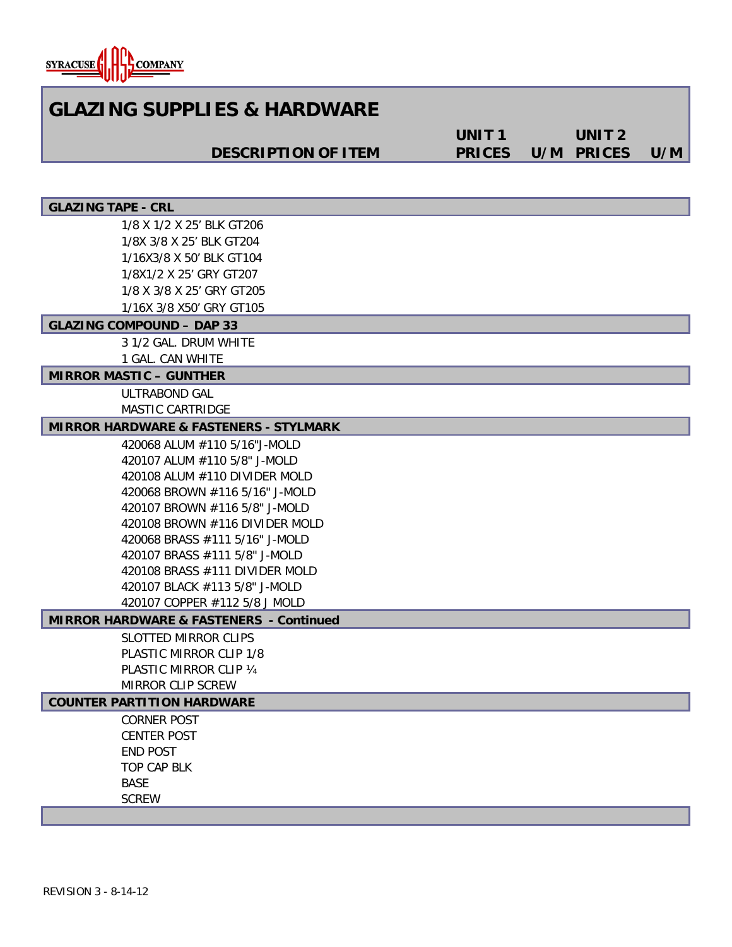

# **GLAZING SUPPLIES & HARDWARE**

**DESCRIPTION OF ITEM**

**UNIT 1 PRICES UNIT 2 PRICES U/M**

### **GLAZING TAPE - CRL**

1/8 X 1/2 X 25' BLK GT206 1/8X 3/8 X 25' BLK GT204 1/16X3/8 X 50' BLK GT104 1/8X1/2 X 25' GRY GT207 1/8 X 3/8 X 25' GRY GT205 1/16X 3/8 X50' GRY GT105

#### **GLAZING COMPOUND – DAP 33**

3 1/2 GAL. DRUM WHITE 1 GAL. CAN WHITE

**MIRROR MASTIC – GUNTHER**

ULTRABOND GAL MASTIC CARTRIDGE

# **MIRROR HARDWARE & FASTENERS - STYLMARK**

420068 ALUM #110 5/16"J-MOLD 420107 ALUM #110 5/8" J-MOLD 420108 ALUM #110 DIVIDER MOLD 420068 BROWN #116 5/16" J-MOLD 420107 BROWN #116 5/8" J-MOLD 420108 BROWN #116 DIVIDER MOLD 420068 BRASS #111 5/16" J-MOLD 420107 BRASS #111 5/8" J-MOLD 420108 BRASS #111 DIVIDER MOLD 420107 BLACK #113 5/8" J-MOLD 420107 COPPER #112 5/8 J MOLD

## **MIRROR HARDWARE & FASTENERS - Continued**

SLOTTED MIRROR CLIPS PLASTIC MIRROR CLIP 1/8 PLASTIC MIRROR CLIP ¼ MIRROR CLIP SCREW

#### **COUNTER PARTITION HARDWARE**

CORNER POST CENTER POST END POST TOP CAP BLK BASE **SCREW**